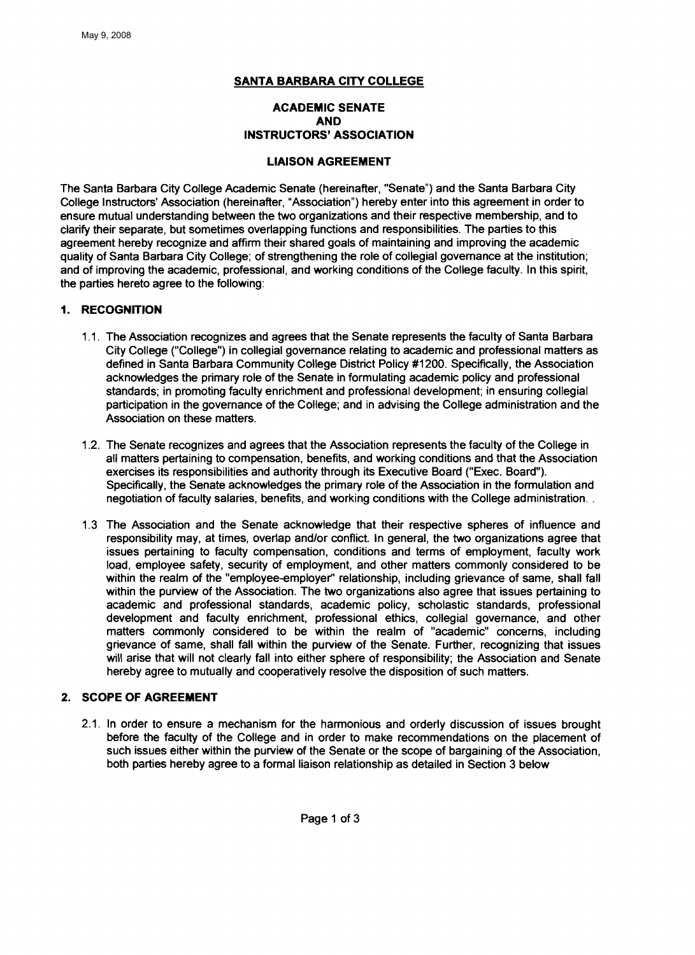## **SANTA BARBARA CITY COLLEGE**

# **ACADEMIC SENATE AND INSTRUCTORS' ASSOCIATION**

## **LIAISON AGREEMENT**

The Santa Barbara City College Academic Senate (hereinafter, "Senate") and the Santa Barbara City College Instructors' Association (hereinafter, "Association") hereby enter into this agreement in order to ensure mutual understanding between the two organizations and their respective membership, and to clarify their separate, but sometimes overlapping functions and responsibilities. The parties to this agreement hereby recognize and affirm their shared goals of maintaining and improving the academic quality of Santa Barbara City College; of strengthening the role of collegial governance at the institution; and of improving the academic, professional, and working conditions of the College faculty. In this spirit, the parties hereto agree to the following:

## 1. **RECOGNITION**

- 1.1. The Association recognizes and agrees that the Senate represents the faculty of Santa Barbara City College ("College") in collegial governance relating to academic and professional matters as defined in Santa Barbara Community College District Policy #1200. Specifically, the Association acknowledges the primary role of the Senate in formulating academic policy and professional standards; in promoting faculty enrichment and professional development; in ensuring collegial participation in the governance of the College; and in advising the College administration and the Association on these matters.
- 1.2. The Senate recognizes and agrees that the Association represents the faculty of the College in all matters pertaining to compensation, benefits, and working conditions and that the Association exercises its responsibilities and authority through its Executive Board ("Exec. Board"). Specifically, the Senate acknowledges the primary role of the Association in the formulation and negotiation of faculty salaries, benefits, and working conditions with the College administration..
- 1.3 The Association and the Senate acknowledge that their respective spheres of influence and responsibility may, at times, overlap and/or conflict. In general, the two organizations agree that issues pertaining to faculty compensation, conditions and terms of employment, faculty work load, employee safety, security of employment, and other matters commonly considered to be within the realm of the "employee-employer" relationship, including grievance of same, shall fall within the purview of the Association. The two organizations also agree that issues pertaining to academic and professional standards, academic policy, scholastic standards, professional development and faculty enrichment, professional ethics, collegial governance, and other matters commonly considered to be within the realm of "academic" concerns, including grievance of same, shall fall within the purview of the Senate. Further, recognizing that issues will arise that will not clearly fall into either sphere of responsibility; the Association and Senate hereby agree to mutually and cooperatively resolve the disposition of such matters.

## 2. **SCOPE OF AGREEMENT**

2.1. In order to ensure a mechanism for the harmonious and orderly discussion of issues brought before the faculty of the College and in order to make recommendations on the placement of such issues either within the purview of the Senate or the scope of bargaining of the Association, both parties hereby agree to a formal liaison relationship as detailed in Section 3 below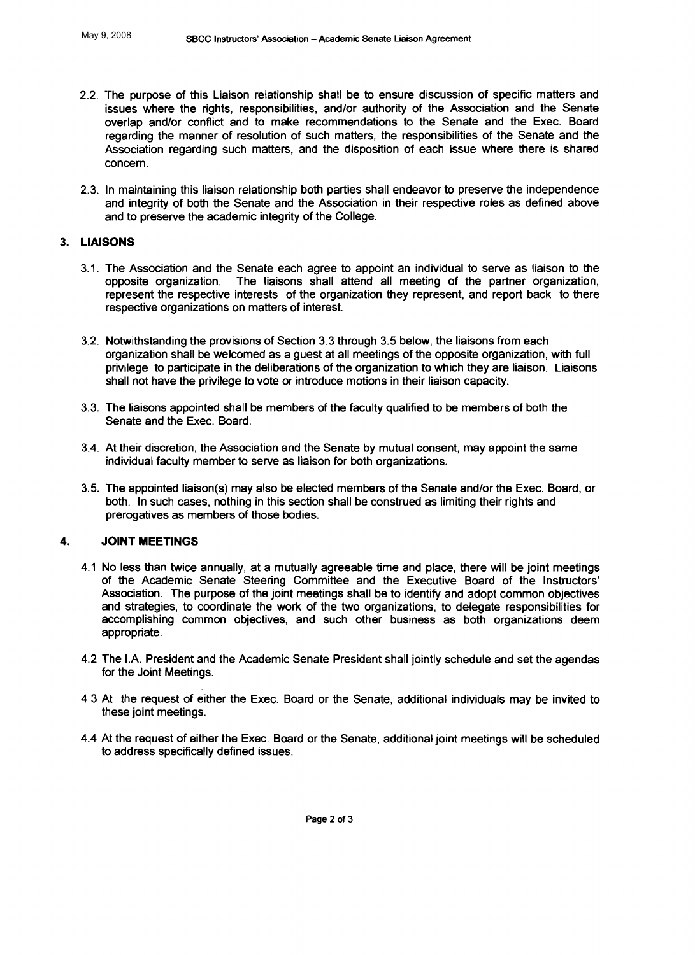- 2.2. The purpose of this Liaison relationship shall be to ensure discussion of specific matters and issues where the rights, responsibilities, and/or authority of the Association and the Senate overlap and/or conflict and to make recommendations to the Senate and the Exec. Board regarding the manner of resolution of such matters, the responsibilities of the Senate and the Association regarding such matters, and the disposition of each issue where there is shared concern.
- 2.3. In maintaining this liaison relationship both parties shall endeavor to preserve the independence and integrity of both the Senate and the Association in their respective roles as defined above and to preserve the academic integrity of the College.

#### 3. **LIAISONS**

- 3.1. The Association and the Senate each agree to appoint an individual to serve as liaison to the opposite organization. The liaisons shall attend all meeting of the partner organization, represent the respective interests of the organization they represent, and report back to there respective organizations on matters of interest.
- 3.2. Notwithstanding the provisions of Section 3.3 through 3.5 below, the liaisons from each organization shall be welcomed as a guest at all meetings of the opposite organization, with full privilege to participate in the deliberations of the organization to which they are liaison. Liaisons shall not have the privilege to vote or introduce motions in their liaison capacity.
- 3.3. The liaisons appointed shall be members of the faculty qualified to be members of both the Senate and the Exec. Board.
- 3.4. At their discretion, the Association and the Senate by mutual consent, may appoint the same individual faculty member to serve as liaison for both organizations.
- 3.5. The appointed liaison(s) may also be elected members of the Senate and/or the Exec. Board, or both. In such cases, nothing in this section shall be construed as limiting their rights and prerogatives as members of those bodies.

#### 4. **JOINT MEETINGS**

- 4.1 No less than twice annually, at a mutually agreeable time and place, there will be joint meetings of the Academic Senate Steering Committee and the Executive Board of the Instructors' Association. The purpose of the joint meetings shall be to identify and adopt common objectives and strategies, to coordinate the work of the two organizations, to delegate responsibilities for accomplishing common objectives, and such other business as both organizations deem appropriate.
- 4.2 The I.A. President and the Academic Senate President shall jointly schedule and set the agendas for the Joint Meetings.
- 4.3 At the request of either the Exec. Board or the Senate, additional individuals may be invited to these joint meetings.
- 4.4 At the request of either the Exec. Board or the Senate, additional joint meetings will be scheduled to address specifically defined issues.